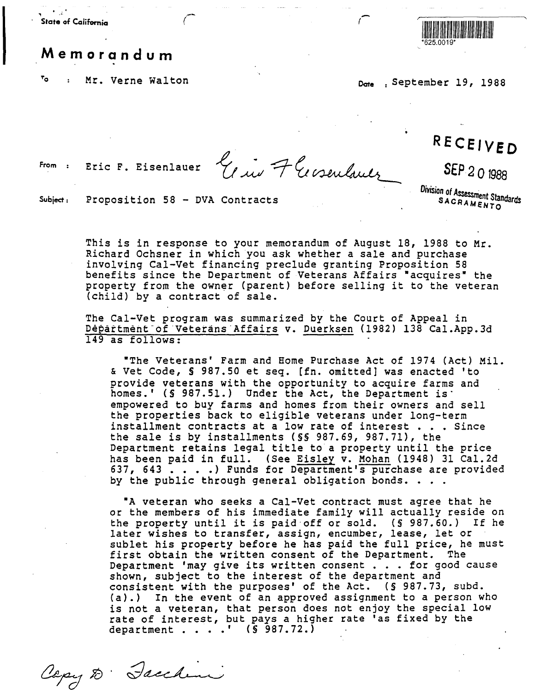**State of California**  , *(-*  $\frac{1}{2}$ 

## **Memorandum**

<sup>To</sup> : Mr. Verne Walton **Date** <sub>Date</sub> September 19, 1988



From Eric F. Eisenlauer  $\frac{e_{i}}{c_{i}w}$  + Crosenlands SEP 201988

SEP 201988

Subject: Proposition  $58 - DVA$  Contracts

Division of Assessment Standards SACRAMENTO

This is in response to your memorandum of August 18, 1988 to Mr. Richard Ochsner in which you ask whether a sale and purchase involving Cal-Vet financing preclude granting Proposition 58 benefits since the Department of Veterans Affairs "acquires" the property from the owner (parent) before selling it to the veteran (child) by a contract of sale.

The Cal-Vet program was summarized by the Court of Appeal in Depattment-of ·vetetans·Affairs v. Duerksen (1982) 138 Cal.App.3d 149 as follows:

•The Veterans' Farm and Home Purchase Act of 1974 (Act) Mil. & Vet Code, § 987.50 et seq. [fn. omitted] was enacted 'to provide veterans with the opportunity to acquire farms and homes.' (§ 987.51.) Under the Act, the Department is : empowered to buy farms and homes from their owners and sell the properties back to eligible veterans under long-term installment contracts at a low rate of interest . . . Since the sale is by installments(§§ 987.69, 987.71), the Department retains legal title to a property until the price Peparament recentive regar erate for a grogore, more ent one price<br>has been paid in full. (See <u>Eisley</u> v. Mohan (1948) 31 Cal.2d<br>637, 643 ....) Funds for Department's purchase are provided 637, 643 . . . .) Funds for Department's purchase are provided<br>by the public through general obligation bonds. . . .

•A veteran who seeks a Cal-Vet contract must agree that he or the members of his immediate family will actually reside on the property until it is paid·off or sold. (§ 987.60.) If he later wishes to transfer, assign, encumber, lease, let or sublet his property before he has paid the full price, he must first obtain the written consent of the Department. The Department 'may give its written consent . . . for good cause shown, subject to the interest of the department and consistent with the purposes' of the Act. (§ 987.73, subd. (a).) In the event of an approved assignment to a person who is not a veteran, that person does not enjoy the special low rate of interest, but pays a higher rate 'as fixed by the department . . . . ' (§ 987.72.)

Copy D. Jacchini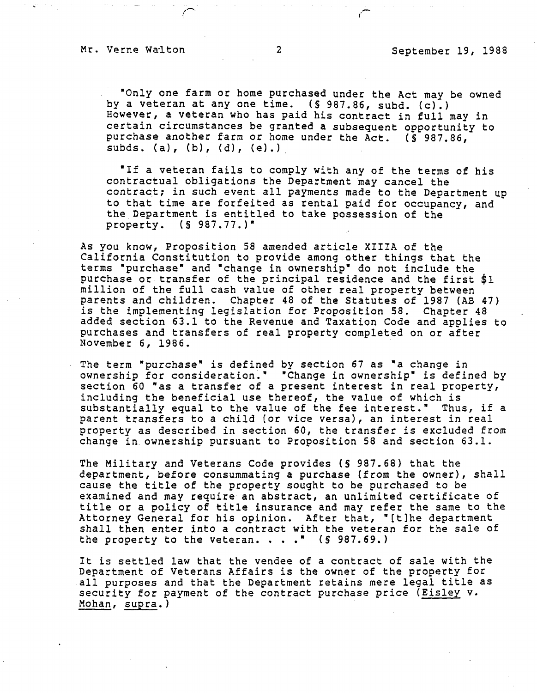,--

•only one farm or home purchased under the Act may be owned by a veteran at any one time. (§ 987.86, subd. (c).) However, a veteran who has paid his contract in full may in certain circumstances be granted a subsequent opportunity to purchase another farm or home under the Act. (§ 987.86, subds. (a), (b), (d), (e}.)

"If a veteran fails to comply with any of the terms of his contractual obligations the Department may cancel the contract; in such event all payments made to the Department up to that time are forfeited as rental paid for occupancy, and the Department is entitled to take possession of the property.  $(S 987.77.)^*$ property. (§ 987.77.)•

As you know, Proposition 58 amended article XIIIA of the California Constitution to provide among other things that the terms •purchase• and •change in ownership• do not include the purchase or transfer of the principal residence and the first \$1 million of the full cash value of other real property between parents and children. Chapter 48 of the Statutes of 1987 (AB 47) is the implementing legislation for Proposition 58. Chapter 48 added section 63.1 to the Revenue and Taxation Code and applies to purchases and transfers of real property completed on or after November 6, 1986.

The term "purchase" is defined by section 67 as "a change in ownership for consideration." "Change in ownership" is defined by section 60 "as a transfer of a present interest in real property, including the beneficial use thereof, the value of which is substantially equal to the value of the fee interest." Thus, if a parent transfers to a child (or vice versa}, an interest in real property as described in section 60, the transfer is excluded from change in ownership pursuant to Proposition 58 and section 63.1.

The Military and Veterans Code provides (§ 987.68) that the department, before consummating a purchase (from the owner), shall cause the title of the property sought to be purchased to be examined and may require an abstract, an unlimited certificate of title or a policy of title insurance and may refer the same to the Attorney General for his opinion. After that, "[t]he department shall then enter into a contract with the veteran for the sale of the property to the veteran.  $\ldots$   $\blacksquare$  (§ 987.69.)

It is settled law that the vendee of a contract of sale with the Department of Veterans Affairs is the owner of the property for all purposes and that the Department retains mere legal title as security for payment of the contract purchase price (Eisley v. Mohan, supra. )

/ *(* -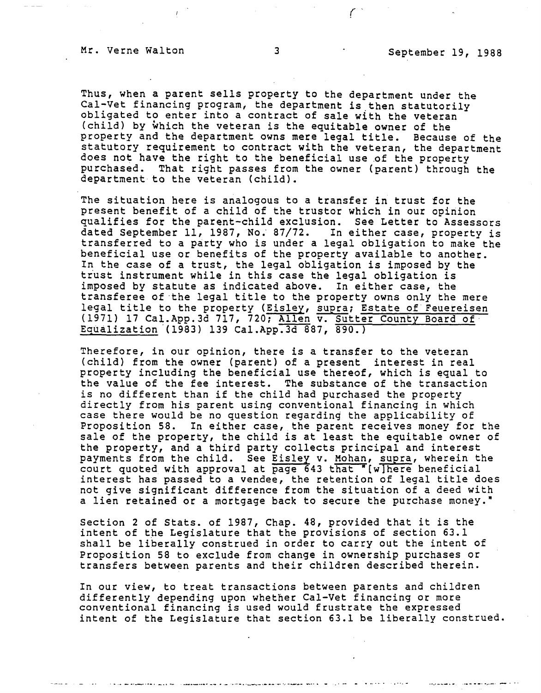······---•'"'· ··----·•,··--· - ...

Thus, when a parent sells property to the department under the Cal-Vet financing program, the department is then statutorily obligated to enter into a contract of sale with the veteran (child) by which the veteran is the equitable owner of the property and the department owns mere legal title. Because of the statutory requirement to contract with the veteran, the department does not have the right to the beneficial use of the property purchased. That right passes from the owner (parent) through the department to the veteran (child).

The situation here is analogous to a transfer in trust for the present benefit of a child of the trustor which in our opinion qualifies for the parent-child exclusion. See Letter to Assessors dated September 11, 1987, No; 87/72. In either case, property is transferred to a party who is under a legal obligation to make the beneficial use or benefits of the property available to another. In the case of a trust, the legal obligation is imposed by the trust instrument while in this case the legal obligation is imposed by statute as indicated above. In either case, the transferee of the legal title to the property owns only the mere legal title to the property (Eisley, supra; Estate of Feuereisen (1971) 17 Cal. App. 3d 717, 720; Allen v. Sutter County Board of Equalization (1983) 139 Cal.App.3d 887, 890.)

Therefore, in our opinion, there is a transfer to the veteran (child) from the owner (parent) of a present interest in real property including the beneficial use thereof, which is equal to the value of the fee interest. The substance of the transaction is no different than if the child had purchased the property directly from his parent using conventional financing in which case there would be no question regarding the applicability of Proposition 58. In either case, the parent receives money for the sale of the property, the child is at least the equitable owner of the property, and a third party collects principal and interest payments from the child. See Eisley v. Mohan, supra, wherein the court quoted with approval at page  $643$  that  $*($ w here beneficial interest has passed to a vendee, the retention of legal title does not give significant difference from the situation of a deed with a lien retained or a mortgage back to secure the purchase money."

Section 2 of Stats. of 1987, Chap. 48, provided that it is the intent of the Legislature that the provisions of section 63.1 shall be liberally construed in order to carry out the intent of Proposition 58 to exclude from change in ownership purchases or transfers between parents and their children described therein.

In our view, to treat transactions between parents and children differently depending upon whether Cal-Vet financing or more conventional financing is used would frustrate the expressed intent of the Legislature that section 63.1 be liberally construed.

.<br>الأرباء العام الأحديث الموضوعة به صابقها للإنسان الإنسانية على الأربانية الاستعمام المتاريخ والمرارة المستحدثة المراكب

*(*